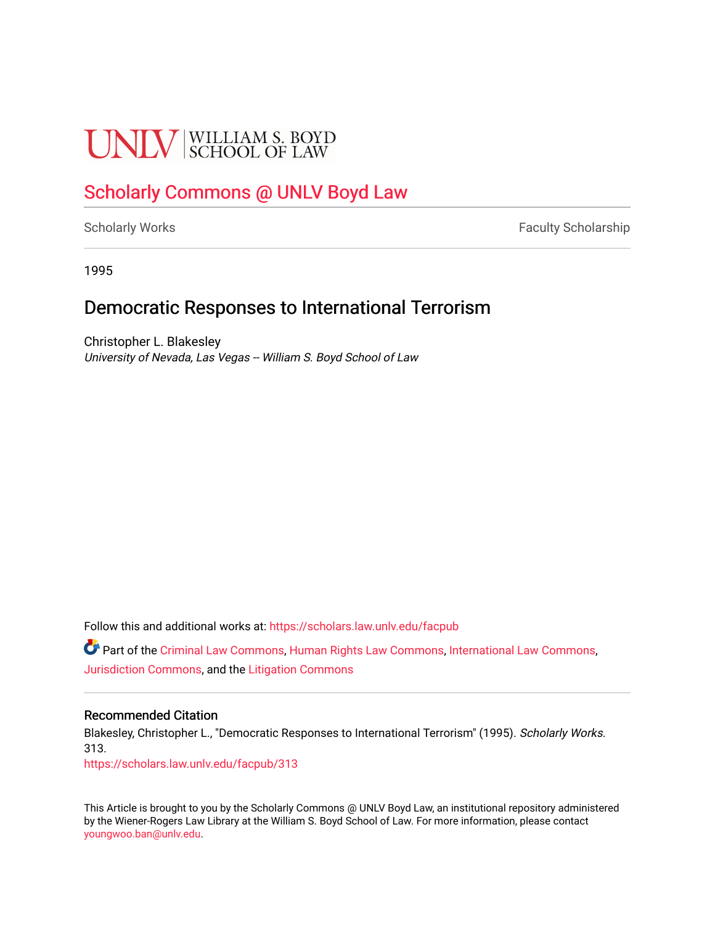# **UNIV** SCHOOL OF LAW

## [Scholarly Commons @ UNLV Boyd Law](https://scholars.law.unlv.edu/)

[Scholarly Works](https://scholars.law.unlv.edu/facpub) **Faculty Scholarship** Faculty Scholarship

1995

## Democratic Responses to International Terrorism

Christopher L. Blakesley University of Nevada, Las Vegas -- William S. Boyd School of Law

Follow this and additional works at: [https://scholars.law.unlv.edu/facpub](https://scholars.law.unlv.edu/facpub?utm_source=scholars.law.unlv.edu%2Ffacpub%2F313&utm_medium=PDF&utm_campaign=PDFCoverPages)

Part of the [Criminal Law Commons,](http://network.bepress.com/hgg/discipline/912?utm_source=scholars.law.unlv.edu%2Ffacpub%2F313&utm_medium=PDF&utm_campaign=PDFCoverPages) [Human Rights Law Commons](http://network.bepress.com/hgg/discipline/847?utm_source=scholars.law.unlv.edu%2Ffacpub%2F313&utm_medium=PDF&utm_campaign=PDFCoverPages), [International Law Commons](http://network.bepress.com/hgg/discipline/609?utm_source=scholars.law.unlv.edu%2Ffacpub%2F313&utm_medium=PDF&utm_campaign=PDFCoverPages), [Jurisdiction Commons,](http://network.bepress.com/hgg/discipline/850?utm_source=scholars.law.unlv.edu%2Ffacpub%2F313&utm_medium=PDF&utm_campaign=PDFCoverPages) and the [Litigation Commons](http://network.bepress.com/hgg/discipline/910?utm_source=scholars.law.unlv.edu%2Ffacpub%2F313&utm_medium=PDF&utm_campaign=PDFCoverPages) 

### Recommended Citation

Blakesley, Christopher L., "Democratic Responses to International Terrorism" (1995). Scholarly Works. 313.

[https://scholars.law.unlv.edu/facpub/313](https://scholars.law.unlv.edu/facpub/313?utm_source=scholars.law.unlv.edu%2Ffacpub%2F313&utm_medium=PDF&utm_campaign=PDFCoverPages)

This Article is brought to you by the Scholarly Commons @ UNLV Boyd Law, an institutional repository administered by the Wiener-Rogers Law Library at the William S. Boyd School of Law. For more information, please contact [youngwoo.ban@unlv.edu.](mailto:youngwoo.ban@unlv.edu)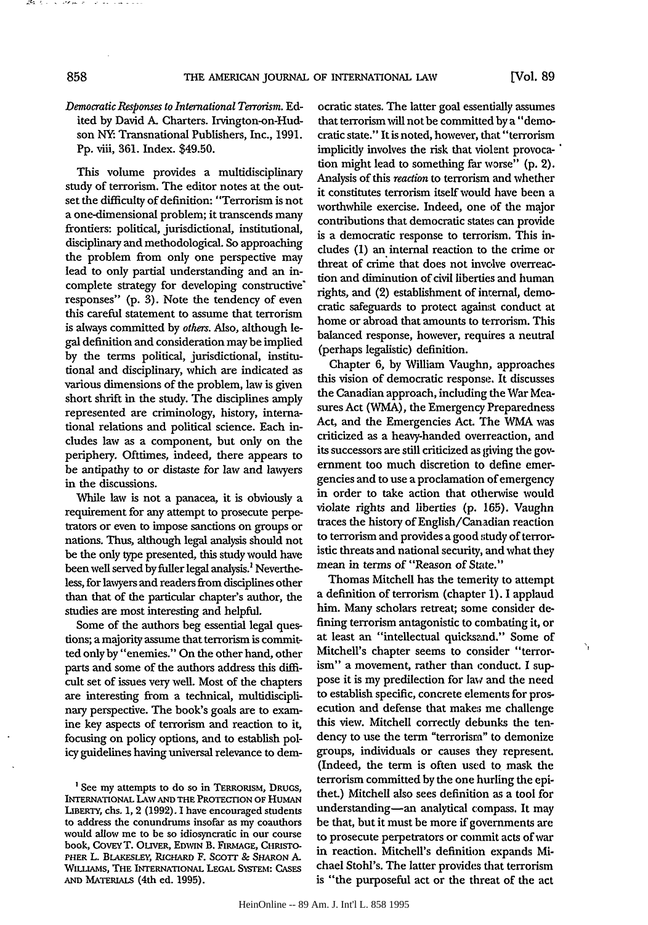#### *Democratic Responses to International Terrorism.* Edited by David A. Charters. Irvington-on-Hudson NY: Transnational Publishers, Inc., 1991. Pp. viii, 361. Index. \$49.50.

This volume provides a multidisciplinary study of terrorism. The editor notes at the outset the difficulty of definition: "Terrorism is not a one-dimensional problem; it transcends many frontiers: political, jurisdictional, institutional, disciplinary and methodological. So approaching the problem from only one perspective may lead to only partial understanding and an incomplete strategy for developing constructive' responses" (p. 3). Note the tendency of even this careful statement to assume that terrorism is always committed by *others.* Also, although legal definition and consideration may be implied by the terms political, jurisdictional, institutional and disciplinary, which are indicated as various dimensions of the problem, law is given short shrift in the study. The disciplines amply represented are criminology, history, international relations and political science. Each includes law as a component, but only on the periphery. Ofttimes, indeed, there appears to be antipathy to or distaste for law and lawyers in the discussions.

While law is not a panacea, it is obviously a requirement for any attempt to prosecute perpetrators or even to impose sanctions on groups or nations. Thus, although legal analysis should not be the only type presented, this study would have been well served **by** fuller legal analysis.' Nevertheless, for lawyers and readers from disciplines other than that of the particular chapter's author, the studies are most interesting and helpful.

Some of the authors beg essential legal questions; a majority assume that terrorism is committed only **by** "enemies." On the other hand, other parts and some of the authors address this difficult set of issues very well. Most of the chapters are interesting from a technical, multidisciplinary perspective. The book's goals are to examine key aspects of terrorism and reaction to it, focusing on policy options, and to establish policy guidelines having universal relevance to democratic states. The latter goal essentially assumes that terrorism will not be committed by a "democratic state." It is noted, however, that "terrorism implicitly involves the risk that violent provocation might lead to something far worse" **(p.** 2). Analysis of this *reaction* to terrorism and whether it constitutes terrorism itself would have been a worthwhile exercise. Indeed, one of the major contributions that democratic states can provide is a democratic response to terrorism. This includes (1) an internal reaction to the crime or threat of crime that does not involve overreaction and diminution of civil liberties and human rights, and (2) establishment of internal, democratic safeguards to protect against conduct at home or abroad that amounts to terrorism. This balanced response, however, requires a neutral (perhaps legalistic) definition.

Chapter 6, by William Vaughn, approaches this vision of democratic response. It discusses the Canadian approach, including the War Measures Act (WMA), the Emergency Preparedness Act, and the Emergencies Act. The WMA was criticized as a heavy-handed overreaction, and its successors are still criticized as giving the government too much discretion to define emergencies and to use a proclamation of emergency in order to take action that otherwise would violate rights and liberties **(p.** 165). Vaughn traces the history of English/Canadian reaction to terrorism and provides a good study of terroristic threats and national security, and what they mean in terms of "Reason of State."

Thomas Mitchell has the temerity to attempt a definition of terrorism (chapter 1). 1 applaud him. Many scholars retreat; some consider defining terrorism antagonistic to combating it, or at least an "intellectual quicksand." Some of Mitchell's chapter seems to consider "terrorism" a movement, rather than conduct. I suppose it is my predilection for law and the need to establish specific, concrete elements for prosecution and defense that makes me challenge this view. Mitchell correctly debunks the tendency to use the term "terrorism" to demonize groups, individuals or causes they represent. (Indeed, the term is often used to mask the terrorism committed by the one hurling the epithet.) Mitchell also sees definition as a tool for understanding-an analytical compass. It may be that, but it must be more if governments are to prosecute perpetrators or commit acts of war in reaction. Mitchell's definition expands Michael Stohl's. The latter provides that terrorism is "the purposeful act or the threat of the act

۱

and all the contract of

<sup>&</sup>lt;sup>1</sup> See my attempts to do so in TERRORISM, DRUGS, **INTERNATIONAL** LAW **AND** THE PROTECTION OF HuMAN LIBERTY, chs. 1, 2 **(1992). 1** have encouraged students to address the conundrums insofar as my coauthors would allow me to be so idiosyncratic in our course book, CovEYT. OLIVER, **EDWIN** B. FIRMAGE, CHRISTO- PHER L. BLAKESLEY, RICHARD F. SCOTT & SHARON A. WILIAMs, THE INTERNATIONAL LEGAL SYSTEM: CASES AND MATERIALS (4th ed. 1995).